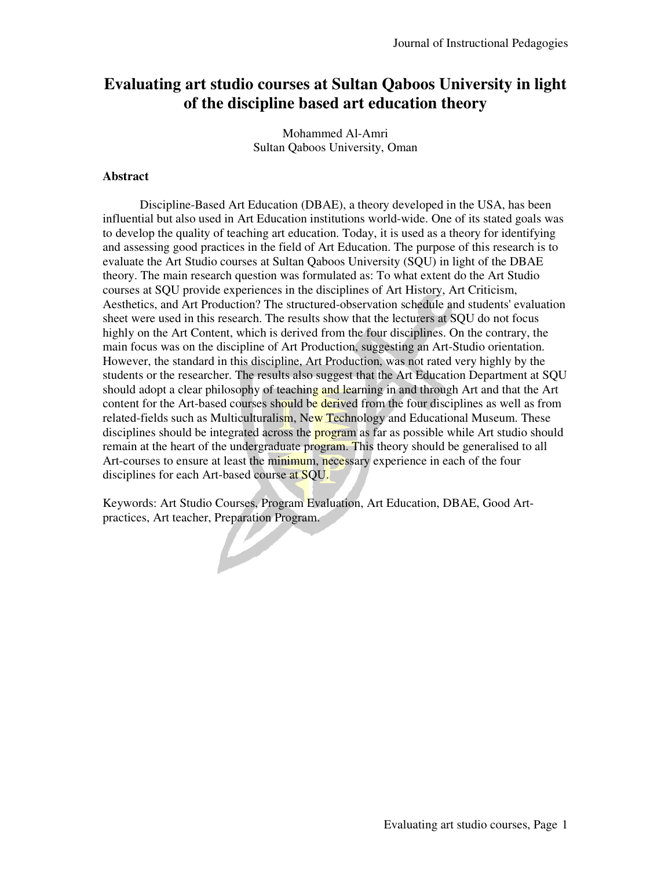# **Evaluating art studio courses at Sultan Qaboos University in light of the discipline based art education theory**

Mohammed Al-Amri Sultan Qaboos University, Oman

### **Abstract**

Discipline-Based Art Education (DBAE), a theory developed in the USA, has been influential but also used in Art Education institutions world-wide. One of its stated goals was to develop the quality of teaching art education. Today, it is used as a theory for identifying and assessing good practices in the field of Art Education. The purpose of this research is to evaluate the Art Studio courses at Sultan Qaboos University (SQU) in light of the DBAE theory. The main research question was formulated as: To what extent do the Art Studio courses at SQU provide experiences in the disciplines of Art History, Art Criticism, Aesthetics, and Art Production? The structured-observation schedule and students' evaluation sheet were used in this research. The results show that the lecturers at SQU do not focus highly on the Art Content, which is derived from the four disciplines. On the contrary, the main focus was on the discipline of Art Production, suggesting an Art-Studio orientation. However, the standard in this discipline, Art Production, was not rated very highly by the students or the researcher. The results also suggest that the Art Education Department at SQU should adopt a clear philosophy of teaching and learning in and through Art and that the Art content for the Art-based courses should be derived from the four disciplines as well as from related-fields such as Multiculturalism, New Technology and Educational Museum. These disciplines should be integrated across the **program** as far as possible while Art studio should remain at the heart of the undergraduate program. This theory should be generalised to all Art-courses to ensure at least the minimum, necessary experience in each of the four disciplines for each Art-based course at SQU.

Keywords: Art Studio Courses, Program Evaluation, Art Education, DBAE, Good Artpractices, Art teacher, Preparation Program.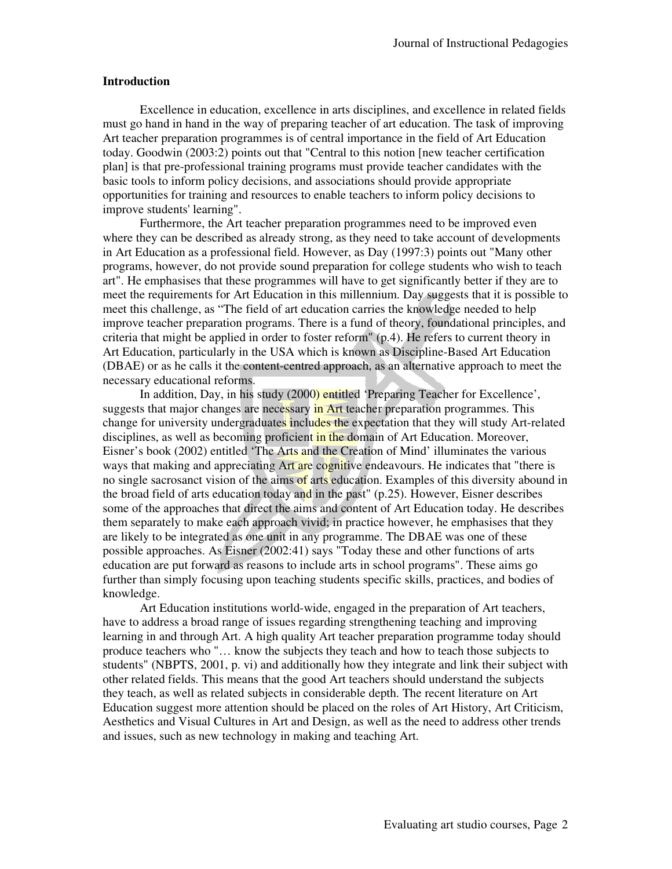#### **Introduction**

Excellence in education, excellence in arts disciplines, and excellence in related fields must go hand in hand in the way of preparing teacher of art education. The task of improving Art teacher preparation programmes is of central importance in the field of Art Education today. Goodwin (2003:2) points out that "Central to this notion [new teacher certification plan] is that pre-professional training programs must provide teacher candidates with the basic tools to inform policy decisions, and associations should provide appropriate opportunities for training and resources to enable teachers to inform policy decisions to improve students' learning".

Furthermore, the Art teacher preparation programmes need to be improved even where they can be described as already strong, as they need to take account of developments in Art Education as a professional field. However, as Day (1997:3) points out "Many other programs, however, do not provide sound preparation for college students who wish to teach art". He emphasises that these programmes will have to get significantly better if they are to meet the requirements for Art Education in this millennium. Day suggests that it is possible to meet this challenge, as "The field of art education carries the knowledge needed to help improve teacher preparation programs. There is a fund of theory, foundational principles, and criteria that might be applied in order to foster reform" (p.4). He refers to current theory in Art Education, particularly in the USA which is known as Discipline-Based Art Education (DBAE) or as he calls it the content-centred approach, as an alternative approach to meet the necessary educational reforms.

In addition, Day, in his study (2000) entitled 'Preparing Teacher for Excellence', suggests that major changes are necessary in Art teacher preparation programmes. This change for university undergraduates includes the expectation that they will study Art-related disciplines, as well as becoming proficient in the domain of Art Education. Moreover, Eisner's book (2002) entitled 'The Arts and the Creation of Mind' illuminates the various ways that making and appreciating Art are cognitive endeavours. He indicates that "there is no single sacrosanct vision of the aims of arts education. Examples of this diversity abound in the broad field of arts education today and in the past" (p.25). However, Eisner describes some of the approaches that direct the aims and content of Art Education today. He describes them separately to make each approach vivid; in practice however, he emphasises that they are likely to be integrated as one unit in any programme. The DBAE was one of these possible approaches. As Eisner (2002:41) says "Today these and other functions of arts education are put forward as reasons to include arts in school programs". These aims go further than simply focusing upon teaching students specific skills, practices, and bodies of knowledge.

Art Education institutions world-wide, engaged in the preparation of Art teachers, have to address a broad range of issues regarding strengthening teaching and improving learning in and through Art. A high quality Art teacher preparation programme today should produce teachers who "… know the subjects they teach and how to teach those subjects to students" (NBPTS, 2001, p. vi) and additionally how they integrate and link their subject with other related fields. This means that the good Art teachers should understand the subjects they teach, as well as related subjects in considerable depth. The recent literature on Art Education suggest more attention should be placed on the roles of Art History, Art Criticism, Aesthetics and Visual Cultures in Art and Design, as well as the need to address other trends and issues, such as new technology in making and teaching Art.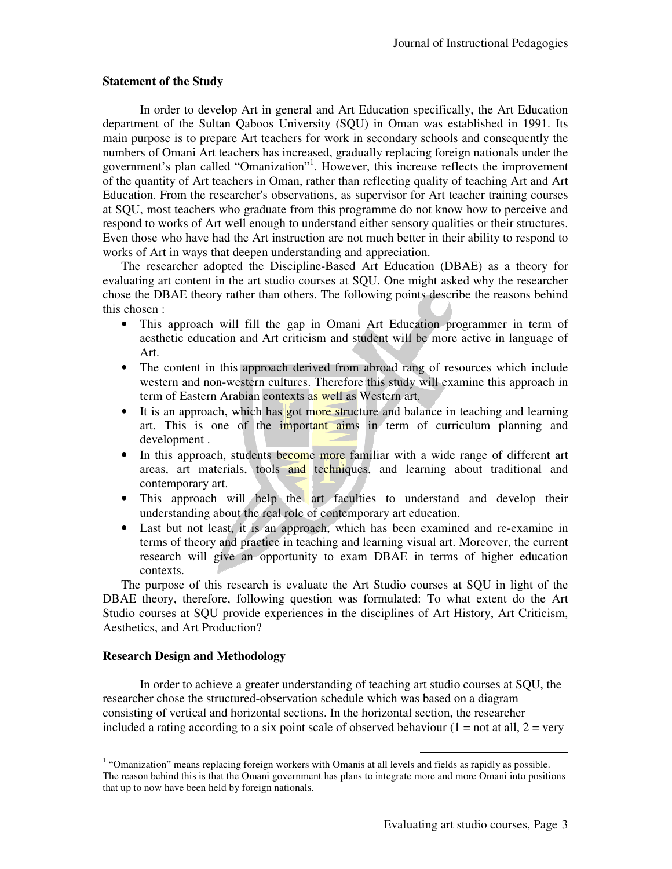#### **Statement of the Study**

In order to develop Art in general and Art Education specifically, the Art Education department of the Sultan Qaboos University (SQU) in Oman was established in 1991. Its main purpose is to prepare Art teachers for work in secondary schools and consequently the numbers of Omani Art teachers has increased, gradually replacing foreign nationals under the government's plan called "Omanization"<sup>1</sup> . However, this increase reflects the improvement of the quantity of Art teachers in Oman, rather than reflecting quality of teaching Art and Art Education. From the researcher's observations, as supervisor for Art teacher training courses at SQU, most teachers who graduate from this programme do not know how to perceive and respond to works of Art well enough to understand either sensory qualities or their structures. Even those who have had the Art instruction are not much better in their ability to respond to works of Art in ways that deepen understanding and appreciation.

The researcher adopted the Discipline-Based Art Education (DBAE) as a theory for evaluating art content in the art studio courses at SQU. One might asked why the researcher chose the DBAE theory rather than others. The following points describe the reasons behind this chosen :

- This approach will fill the gap in Omani Art Education programmer in term of aesthetic education and Art criticism and student will be more active in language of Art.
- The content in this approach derived from abroad rang of resources which include western and non-western cultures. Therefore this study will examine this approach in term of Eastern Arabian contexts as well as Western art.
- It is an approach, which has got more structure and balance in teaching and learning art. This is one of the important aims in term of curriculum planning and development .
- In this approach, students become more familiar with a wide range of different art areas, art materials, tools and techniques, and learning about traditional and contemporary art.
- This approach will help the art faculties to understand and develop their understanding about the real role of contemporary art education.
- Last but not least, it is an approach, which has been examined and re-examine in terms of theory and practice in teaching and learning visual art. Moreover, the current research will give an opportunity to exam DBAE in terms of higher education contexts.

The purpose of this research is evaluate the Art Studio courses at SQU in light of the DBAE theory, therefore, following question was formulated: To what extent do the Art Studio courses at SQU provide experiences in the disciplines of Art History, Art Criticism, Aesthetics, and Art Production?

#### **Research Design and Methodology**

In order to achieve a greater understanding of teaching art studio courses at SQU, the researcher chose the structured-observation schedule which was based on a diagram consisting of vertical and horizontal sections. In the horizontal section, the researcher included a rating according to a six point scale of observed behaviour  $(1 = not at all, 2 = very$ 

 $\overline{a}$ 

<sup>&</sup>lt;sup>1</sup> "Omanization" means replacing foreign workers with Omanis at all levels and fields as rapidly as possible. The reason behind this is that the Omani government has plans to integrate more and more Omani into positions that up to now have been held by foreign nationals.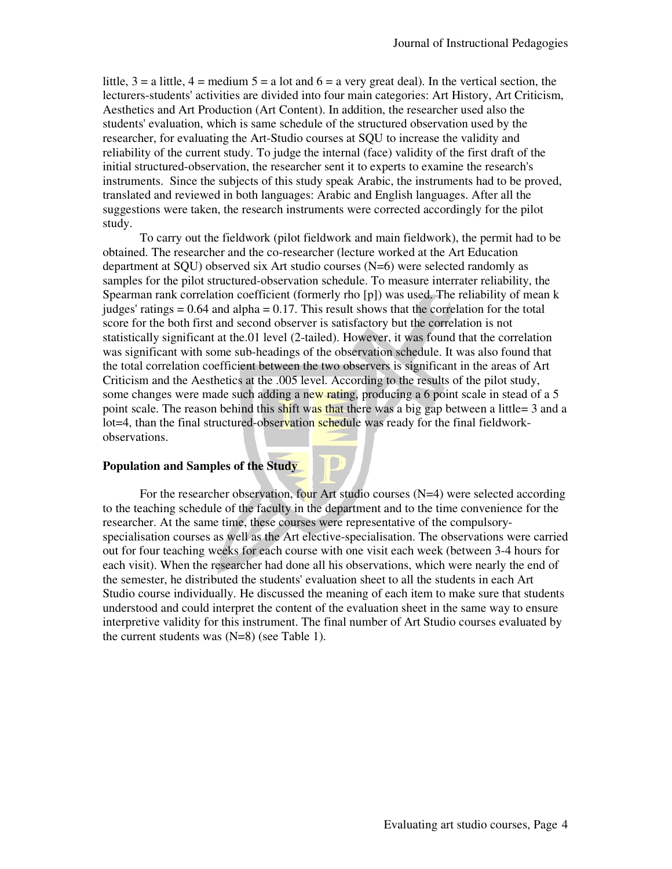little,  $3 = a$  little,  $4 = \text{medium } 5 = a$  lot and  $6 = a$  very great deal). In the vertical section, the lecturers-students' activities are divided into four main categories: Art History, Art Criticism, Aesthetics and Art Production (Art Content). In addition, the researcher used also the students' evaluation, which is same schedule of the structured observation used by the researcher, for evaluating the Art-Studio courses at SQU to increase the validity and reliability of the current study. To judge the internal (face) validity of the first draft of the initial structured-observation, the researcher sent it to experts to examine the research's instruments. Since the subjects of this study speak Arabic, the instruments had to be proved, translated and reviewed in both languages: Arabic and English languages. After all the suggestions were taken, the research instruments were corrected accordingly for the pilot study.

To carry out the fieldwork (pilot fieldwork and main fieldwork), the permit had to be obtained. The researcher and the co-researcher (lecture worked at the Art Education department at SQU) observed six Art studio courses (N=6) were selected randomly as samples for the pilot structured-observation schedule. To measure interrater reliability, the Spearman rank correlation coefficient (formerly rho [p]) was used. The reliability of mean k judges' ratings  $= 0.64$  and alpha  $= 0.17$ . This result shows that the correlation for the total score for the both first and second observer is satisfactory but the correlation is not statistically significant at the.01 level (2-tailed). However, it was found that the correlation was significant with some sub-headings of the observation schedule. It was also found that the total correlation coefficient between the two observers is significant in the areas of Art Criticism and the Aesthetics at the .005 level. According to the results of the pilot study, some changes were made such adding a new rating, producing a 6 point scale in stead of a 5 point scale. The reason behind this shift was that there was a big gap between a little= 3 and a lot=4, than the final structured-observation schedule was ready for the final fieldworkobservations.

#### **Population and Samples of the Study**

For the researcher observation, four Art studio courses  $(N=4)$  were selected according to the teaching schedule of the faculty in the department and to the time convenience for the researcher. At the same time, these courses were representative of the compulsoryspecialisation courses as well as the Art elective-specialisation. The observations were carried out for four teaching weeks for each course with one visit each week (between 3-4 hours for each visit). When the researcher had done all his observations, which were nearly the end of the semester, he distributed the students' evaluation sheet to all the students in each Art Studio course individually. He discussed the meaning of each item to make sure that students understood and could interpret the content of the evaluation sheet in the same way to ensure interpretive validity for this instrument. The final number of Art Studio courses evaluated by the current students was  $(N=8)$  (see Table 1).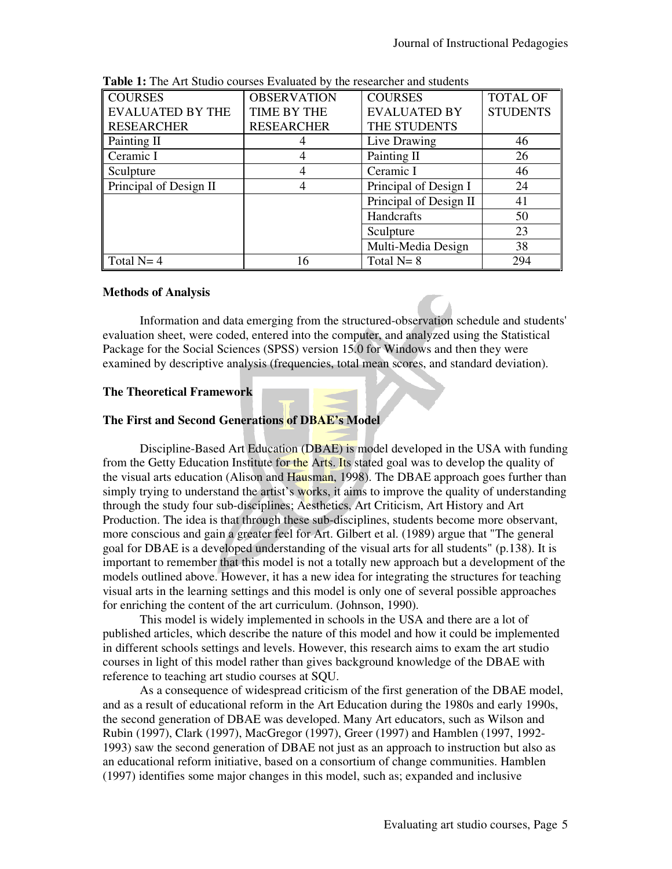| <b>COURSES</b>          | <b>OBSERVATION</b> | <b>COURSES</b>         | <b>TOTAL OF</b> |
|-------------------------|--------------------|------------------------|-----------------|
| <b>EVALUATED BY THE</b> | TIME BY THE        | <b>EVALUATED BY</b>    | <b>STUDENTS</b> |
| <b>RESEARCHER</b>       | <b>RESEARCHER</b>  | THE STUDENTS           |                 |
| Painting II             |                    | Live Drawing           | 46              |
| Ceramic I               | 4                  | Painting II            | 26              |
| Sculpture               | 4                  | Ceramic I              | 46              |
| Principal of Design II  | 4                  | Principal of Design I  | 24              |
|                         |                    | Principal of Design II | 41              |
|                         |                    | Handcrafts             | 50              |
|                         |                    | Sculpture              | 23              |
|                         |                    | Multi-Media Design     | 38              |
| Total $N=4$             | 16                 | Total $N=8$            | 294             |

**Table 1:** The Art Studio courses Evaluated by the researcher and students

#### **Methods of Analysis**

Information and data emerging from the structured-observation schedule and students' evaluation sheet, were coded, entered into the computer, and analyzed using the Statistical Package for the Social Sciences (SPSS) version 15.0 for Windows and then they were examined by descriptive analysis (frequencies, total mean scores, and standard deviation).

# **The Theoretical Framework**

# **The First and Second Generations of DBAE's Model**

Discipline-Based Art Education (DBAE) is model developed in the USA with funding from the Getty Education Institute for the Arts. Its stated goal was to develop the quality of the visual arts education (Alison and Hausman, 1998). The DBAE approach goes further than simply trying to understand the artist's works, it aims to improve the quality of understanding through the study four sub-disciplines; Aesthetics, Art Criticism, Art History and Art Production. The idea is that through these sub-disciplines, students become more observant, more conscious and gain a greater feel for Art. Gilbert et al. (1989) argue that "The general goal for DBAE is a developed understanding of the visual arts for all students" (p.138). It is important to remember that this model is not a totally new approach but a development of the models outlined above. However, it has a new idea for integrating the structures for teaching visual arts in the learning settings and this model is only one of several possible approaches for enriching the content of the art curriculum. (Johnson, 1990).

This model is widely implemented in schools in the USA and there are a lot of published articles, which describe the nature of this model and how it could be implemented in different schools settings and levels. However, this research aims to exam the art studio courses in light of this model rather than gives background knowledge of the DBAE with reference to teaching art studio courses at SQU.

As a consequence of widespread criticism of the first generation of the DBAE model, and as a result of educational reform in the Art Education during the 1980s and early 1990s, the second generation of DBAE was developed. Many Art educators, such as Wilson and Rubin (1997), Clark (1997), MacGregor (1997), Greer (1997) and Hamblen (1997, 1992- 1993) saw the second generation of DBAE not just as an approach to instruction but also as an educational reform initiative, based on a consortium of change communities. Hamblen (1997) identifies some major changes in this model, such as; expanded and inclusive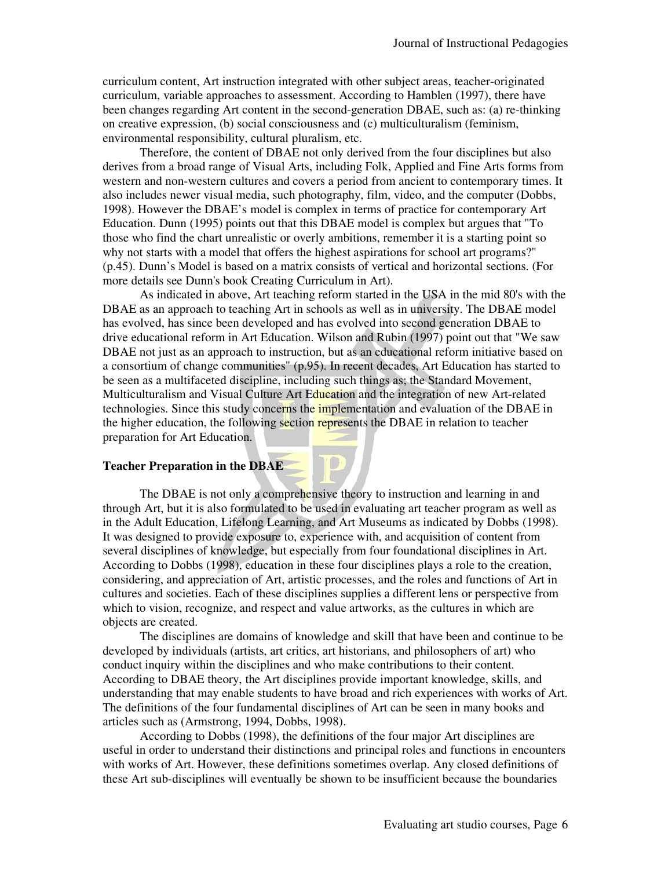curriculum content, Art instruction integrated with other subject areas, teacher-originated curriculum, variable approaches to assessment. According to Hamblen (1997), there have been changes regarding Art content in the second-generation DBAE, such as: (a) re-thinking on creative expression, (b) social consciousness and (c) multiculturalism (feminism, environmental responsibility, cultural pluralism, etc.

Therefore, the content of DBAE not only derived from the four disciplines but also derives from a broad range of Visual Arts, including Folk, Applied and Fine Arts forms from western and non-western cultures and covers a period from ancient to contemporary times. It also includes newer visual media, such photography, film, video, and the computer (Dobbs, 1998). However the DBAE's model is complex in terms of practice for contemporary Art Education. Dunn (1995) points out that this DBAE model is complex but argues that "To those who find the chart unrealistic or overly ambitions, remember it is a starting point so why not starts with a model that offers the highest aspirations for school art programs?" (p.45). Dunn's Model is based on a matrix consists of vertical and horizontal sections. (For more details see Dunn's book Creating Curriculum in Art).

As indicated in above, Art teaching reform started in the USA in the mid 80's with the DBAE as an approach to teaching Art in schools as well as in university. The DBAE model has evolved, has since been developed and has evolved into second generation DBAE to drive educational reform in Art Education. Wilson and Rubin (1997) point out that "We saw DBAE not just as an approach to instruction, but as an educational reform initiative based on a consortium of change communities" (p.95). In recent decades, Art Education has started to be seen as a multifaceted discipline, including such things as; the Standard Movement, Multiculturalism and Visual Culture Art Education and the integration of new Art-related technologies. Since this study concerns the *implementation* and evaluation of the DBAE in the higher education, the following section represents the DBAE in relation to teacher preparation for Art Education.

#### **Teacher Preparation in the DBAE**

The DBAE is not only a comprehensive theory to instruction and learning in and through Art, but it is also formulated to be used in evaluating art teacher program as well as in the Adult Education, Lifelong Learning, and Art Museums as indicated by Dobbs (1998). It was designed to provide exposure to, experience with, and acquisition of content from several disciplines of knowledge, but especially from four foundational disciplines in Art. According to Dobbs (1998), education in these four disciplines plays a role to the creation, considering, and appreciation of Art, artistic processes, and the roles and functions of Art in cultures and societies. Each of these disciplines supplies a different lens or perspective from which to vision, recognize, and respect and value artworks, as the cultures in which are objects are created.

The disciplines are domains of knowledge and skill that have been and continue to be developed by individuals (artists, art critics, art historians, and philosophers of art) who conduct inquiry within the disciplines and who make contributions to their content. According to DBAE theory, the Art disciplines provide important knowledge, skills, and understanding that may enable students to have broad and rich experiences with works of Art. The definitions of the four fundamental disciplines of Art can be seen in many books and articles such as (Armstrong, 1994, Dobbs, 1998).

According to Dobbs (1998), the definitions of the four major Art disciplines are useful in order to understand their distinctions and principal roles and functions in encounters with works of Art. However, these definitions sometimes overlap. Any closed definitions of these Art sub-disciplines will eventually be shown to be insufficient because the boundaries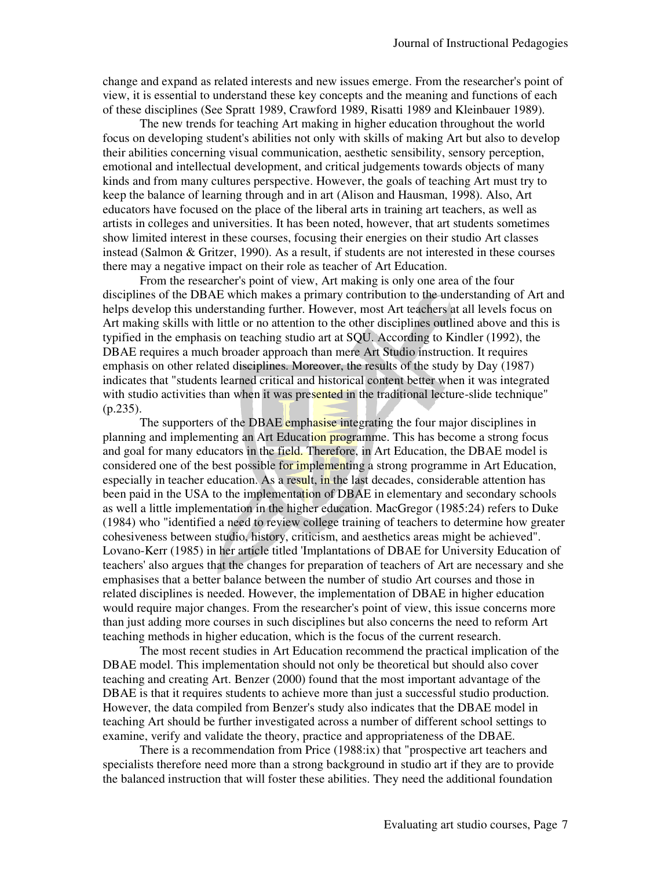change and expand as related interests and new issues emerge. From the researcher's point of view, it is essential to understand these key concepts and the meaning and functions of each of these disciplines (See Spratt 1989, Crawford 1989, Risatti 1989 and Kleinbauer 1989).

The new trends for teaching Art making in higher education throughout the world focus on developing student's abilities not only with skills of making Art but also to develop their abilities concerning visual communication, aesthetic sensibility, sensory perception, emotional and intellectual development, and critical judgements towards objects of many kinds and from many cultures perspective. However, the goals of teaching Art must try to keep the balance of learning through and in art (Alison and Hausman, 1998). Also, Art educators have focused on the place of the liberal arts in training art teachers, as well as artists in colleges and universities. It has been noted, however, that art students sometimes show limited interest in these courses, focusing their energies on their studio Art classes instead (Salmon & Gritzer, 1990). As a result, if students are not interested in these courses there may a negative impact on their role as teacher of Art Education.

From the researcher's point of view, Art making is only one area of the four disciplines of the DBAE which makes a primary contribution to the understanding of Art and helps develop this understanding further. However, most Art teachers at all levels focus on Art making skills with little or no attention to the other disciplines outlined above and this is typified in the emphasis on teaching studio art at SQU. According to Kindler (1992), the DBAE requires a much broader approach than mere Art Studio instruction. It requires emphasis on other related disciplines. Moreover, the results of the study by Day (1987) indicates that "students learned critical and historical content better when it was integrated with studio activities than when it was presented in the traditional lecture-slide technique"  $(p.235)$ .

The supporters of the DBAE emphasise integrating the four major disciplines in planning and implementing an Art Education programme. This has become a strong focus and goal for many educators in the field. Therefore, in Art Education, the DBAE model is considered one of the best possible for implementing a strong programme in Art Education, especially in teacher education. As a result, in the last decades, considerable attention has been paid in the USA to the implementation of DBAE in elementary and secondary schools as well a little implementation in the higher education. MacGregor (1985:24) refers to Duke (1984) who "identified a need to review college training of teachers to determine how greater cohesiveness between studio, history, criticism, and aesthetics areas might be achieved". Lovano-Kerr (1985) in her article titled 'Implantations of DBAE for University Education of teachers' also argues that the changes for preparation of teachers of Art are necessary and she emphasises that a better balance between the number of studio Art courses and those in related disciplines is needed. However, the implementation of DBAE in higher education would require major changes. From the researcher's point of view, this issue concerns more than just adding more courses in such disciplines but also concerns the need to reform Art teaching methods in higher education, which is the focus of the current research.

The most recent studies in Art Education recommend the practical implication of the DBAE model. This implementation should not only be theoretical but should also cover teaching and creating Art. Benzer (2000) found that the most important advantage of the DBAE is that it requires students to achieve more than just a successful studio production. However, the data compiled from Benzer's study also indicates that the DBAE model in teaching Art should be further investigated across a number of different school settings to examine, verify and validate the theory, practice and appropriateness of the DBAE.

There is a recommendation from Price (1988:ix) that "prospective art teachers and specialists therefore need more than a strong background in studio art if they are to provide the balanced instruction that will foster these abilities. They need the additional foundation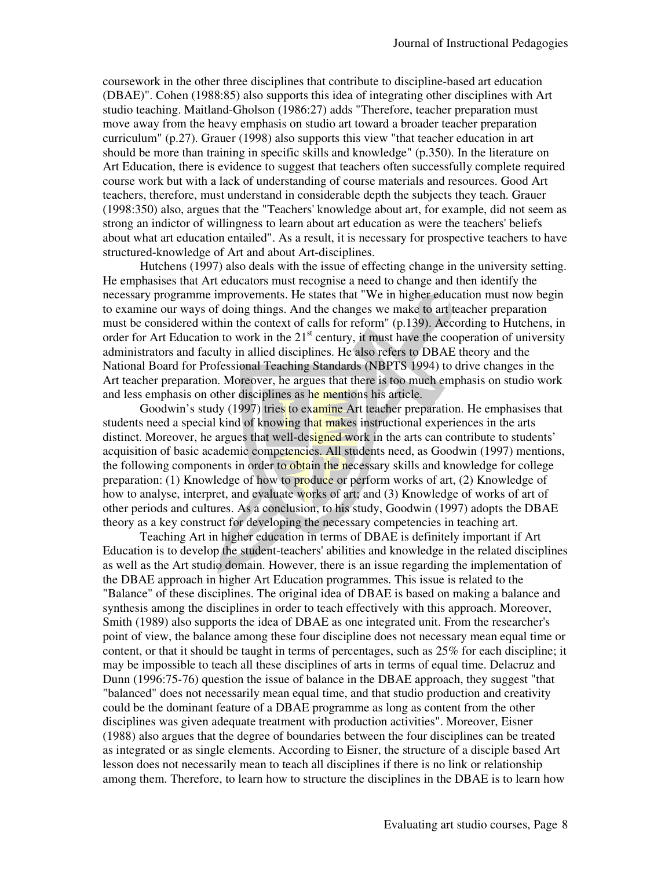coursework in the other three disciplines that contribute to discipline-based art education (DBAE)". Cohen (1988:85) also supports this idea of integrating other disciplines with Art studio teaching. Maitland-Gholson (1986:27) adds "Therefore, teacher preparation must move away from the heavy emphasis on studio art toward a broader teacher preparation curriculum" (p.27). Grauer (1998) also supports this view "that teacher education in art should be more than training in specific skills and knowledge" (p.350). In the literature on Art Education, there is evidence to suggest that teachers often successfully complete required course work but with a lack of understanding of course materials and resources. Good Art teachers, therefore, must understand in considerable depth the subjects they teach. Grauer (1998:350) also, argues that the "Teachers' knowledge about art, for example, did not seem as strong an indictor of willingness to learn about art education as were the teachers' beliefs about what art education entailed". As a result, it is necessary for prospective teachers to have structured-knowledge of Art and about Art-disciplines.

Hutchens (1997) also deals with the issue of effecting change in the university setting. He emphasises that Art educators must recognise a need to change and then identify the necessary programme improvements. He states that "We in higher education must now begin to examine our ways of doing things. And the changes we make to art teacher preparation must be considered within the context of calls for reform" (p.139). According to Hutchens, in order for Art Education to work in the  $21<sup>st</sup>$  century, it must have the cooperation of university administrators and faculty in allied disciplines. He also refers to DBAE theory and the National Board for Professional Teaching Standards (NBPTS 1994) to drive changes in the Art teacher preparation. Moreover, he argues that there is too much emphasis on studio work and less emphasis on other disciplines as he mentions his article.

Goodwin's study (1997) tries to examine Art teacher preparation. He emphasises that students need a special kind of knowing that makes instructional experiences in the arts distinct. Moreover, he argues that well-designed work in the arts can contribute to students' acquisition of basic academic competencies. All students need, as Goodwin (1997) mentions, the following components in order to obtain the necessary skills and knowledge for college preparation: (1) Knowledge of how to produce or perform works of art, (2) Knowledge of how to analyse, interpret, and evaluate works of art; and (3) Knowledge of works of art of other periods and cultures. As a conclusion, to his study, Goodwin (1997) adopts the DBAE theory as a key construct for developing the necessary competencies in teaching art.

Teaching Art in higher education in terms of DBAE is definitely important if Art Education is to develop the student-teachers' abilities and knowledge in the related disciplines as well as the Art studio domain. However, there is an issue regarding the implementation of the DBAE approach in higher Art Education programmes. This issue is related to the "Balance" of these disciplines. The original idea of DBAE is based on making a balance and synthesis among the disciplines in order to teach effectively with this approach. Moreover, Smith (1989) also supports the idea of DBAE as one integrated unit. From the researcher's point of view, the balance among these four discipline does not necessary mean equal time or content, or that it should be taught in terms of percentages, such as 25% for each discipline; it may be impossible to teach all these disciplines of arts in terms of equal time. Delacruz and Dunn (1996:75-76) question the issue of balance in the DBAE approach, they suggest "that "balanced" does not necessarily mean equal time, and that studio production and creativity could be the dominant feature of a DBAE programme as long as content from the other disciplines was given adequate treatment with production activities". Moreover, Eisner (1988) also argues that the degree of boundaries between the four disciplines can be treated as integrated or as single elements. According to Eisner, the structure of a disciple based Art lesson does not necessarily mean to teach all disciplines if there is no link or relationship among them. Therefore, to learn how to structure the disciplines in the DBAE is to learn how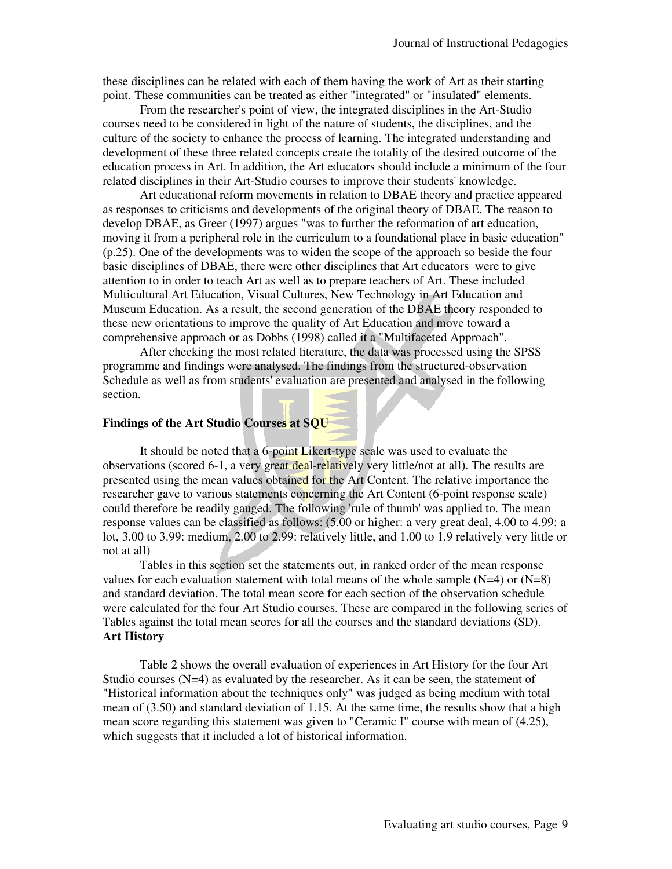these disciplines can be related with each of them having the work of Art as their starting point. These communities can be treated as either "integrated" or "insulated" elements.

From the researcher's point of view, the integrated disciplines in the Art-Studio courses need to be considered in light of the nature of students, the disciplines, and the culture of the society to enhance the process of learning. The integrated understanding and development of these three related concepts create the totality of the desired outcome of the education process in Art. In addition, the Art educators should include a minimum of the four related disciplines in their Art-Studio courses to improve their students' knowledge.

Art educational reform movements in relation to DBAE theory and practice appeared as responses to criticisms and developments of the original theory of DBAE. The reason to develop DBAE, as Greer (1997) argues "was to further the reformation of art education, moving it from a peripheral role in the curriculum to a foundational place in basic education" (p.25). One of the developments was to widen the scope of the approach so beside the four basic disciplines of DBAE, there were other disciplines that Art educators were to give attention to in order to teach Art as well as to prepare teachers of Art. These included Multicultural Art Education, Visual Cultures, New Technology in Art Education and Museum Education. As a result, the second generation of the DBAE theory responded to these new orientations to improve the quality of Art Education and move toward a comprehensive approach or as Dobbs (1998) called it a "Multifaceted Approach".

After checking the most related literature, the data was processed using the SPSS programme and findings were analysed. The findings from the structured-observation Schedule as well as from students' evaluation are presented and analysed in the following section.

#### **Findings of the Art Studio Courses at SQU**

It should be noted that a 6-point Likert-type scale was used to evaluate the observations (scored 6-1, a very great deal-relatively very little/not at all). The results are presented using the mean values obtained for the Art Content. The relative importance the researcher gave to various statements concerning the Art Content (6-point response scale) could therefore be readily gauged. The following 'rule of thumb' was applied to. The mean response values can be classified as follows: (5.00 or higher: a very great deal, 4.00 to 4.99: a lot, 3.00 to 3.99: medium, 2.00 to 2.99: relatively little, and 1.00 to 1.9 relatively very little or not at all)

Tables in this section set the statements out, in ranked order of the mean response values for each evaluation statement with total means of the whole sample  $(N=4)$  or  $(N=8)$ and standard deviation. The total mean score for each section of the observation schedule were calculated for the four Art Studio courses. These are compared in the following series of Tables against the total mean scores for all the courses and the standard deviations (SD). **Art History** 

Table 2 shows the overall evaluation of experiences in Art History for the four Art Studio courses  $(N=4)$  as evaluated by the researcher. As it can be seen, the statement of "Historical information about the techniques only" was judged as being medium with total mean of (3.50) and standard deviation of 1.15. At the same time, the results show that a high mean score regarding this statement was given to "Ceramic I" course with mean of (4.25), which suggests that it included a lot of historical information.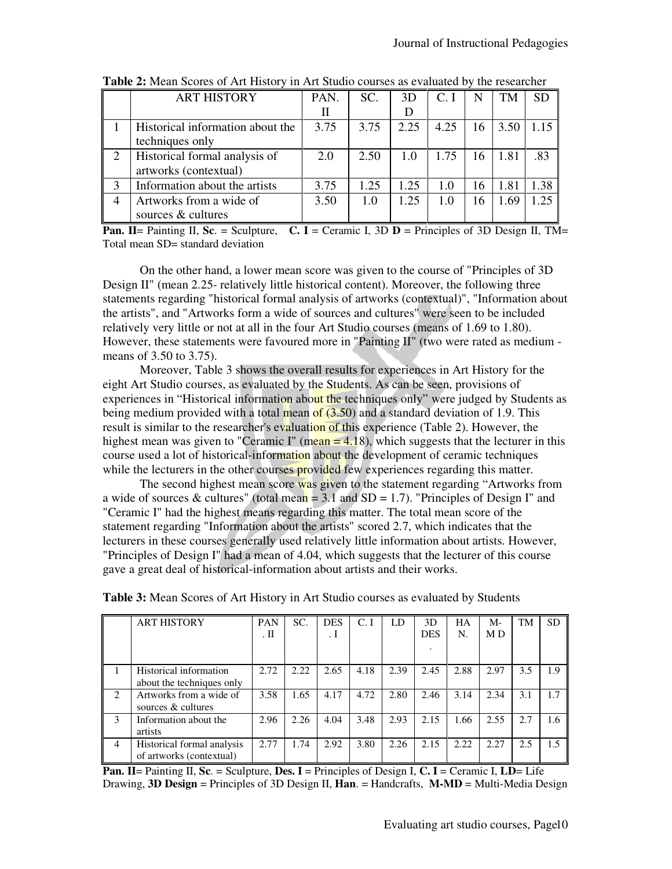|   | <b>ART HISTORY</b>                                     | PAN. | SC.  | 3D   | $Cr$ I | N  | <b>TM</b> | <b>SD</b> |
|---|--------------------------------------------------------|------|------|------|--------|----|-----------|-----------|
|   |                                                        |      |      | D    |        |    |           |           |
|   | Historical information about the<br>techniques only    | 3.75 | 3.75 | 2.25 | 4.25   | 16 | 3.50      | 1.15      |
| 2 | Historical formal analysis of<br>artworks (contextual) | 2.0  | 2.50 | 1.0  | 1.75   | 16 | 1.81      | .83       |
|   | Information about the artists                          | 3.75 | 1.25 | 1.25 | 1.0    | 16 | 1.81      | .38       |
| 4 | Artworks from a wide of<br>sources & cultures          | 3.50 | 1.0  | 1.25 | 1.0    | 16 | 1.69      | 1.25      |

**Table 2:** Mean Scores of Art History in Art Studio courses as evaluated by the researcher

**Pan. II**= Painting II, **Sc**. = Sculpture, **C. I** = Ceramic I, 3D **D** = Principles of 3D Design II, TM= Total mean SD= standard deviation

On the other hand, a lower mean score was given to the course of "Principles of 3D Design II" (mean 2.25- relatively little historical content). Moreover, the following three statements regarding "historical formal analysis of artworks (contextual)", "Information about the artists", and "Artworks form a wide of sources and cultures" were seen to be included relatively very little or not at all in the four Art Studio courses (means of 1.69 to 1.80). However, these statements were favoured more in "Painting II" (two were rated as medium means of 3.50 to 3.75).

Moreover, Table 3 shows the overall results for experiences in Art History for the eight Art Studio courses, as evaluated by the Students. As can be seen, provisions of experiences in "Historical information about the techniques only" were judged by Students as being medium provided with a total mean of  $(3.50)$  and a standard deviation of 1.9. This result is similar to the researcher's evaluation of this experience (Table 2). However, the highest mean was given to "Ceramic I" (mean  $= 4.18$ ), which suggests that the lecturer in this course used a lot of historical-information about the development of ceramic techniques while the lecturers in the other courses provided few experiences regarding this matter.

The second highest mean score was given to the statement regarding "Artworks from a wide of sources & cultures" (total mean = 3.1 and  $SD = 1.7$ ). "Principles of Design I" and "Ceramic I" had the highest means regarding this matter. The total mean score of the statement regarding "Information about the artists" scored 2.7, which indicates that the lecturers in these courses generally used relatively little information about artists. However, "Principles of Design I" had a mean of 4.04, which suggests that the lecturer of this course gave a great deal of historical-information about artists and their works.

|                | <b>ART HISTORY</b>                                     | <b>PAN</b><br>. П | SC.  | <b>DES</b><br>. 1 | C.I  | LD   | 3D<br><b>DES</b> | HA<br>N. | M-<br>M D | <b>TM</b> | <b>SD</b> |
|----------------|--------------------------------------------------------|-------------------|------|-------------------|------|------|------------------|----------|-----------|-----------|-----------|
|                | Historical information<br>about the techniques only    | 2.72              | 2.22 | 2.65              | 4.18 | 2.39 | 2.45             | 2.88     | 2.97      | 3.5       | 1.9       |
| $\mathfrak{D}$ | Artworks from a wide of<br>sources & cultures          | 3.58              | 1.65 | 4.17              | 4.72 | 2.80 | 2.46             | 3.14     | 2.34      | 3.1       | 1.7       |
| 3              | Information about the<br>artists                       | 2.96              | 2.26 | 4.04              | 3.48 | 2.93 | 2.15             | 1.66     | 2.55      | 2.7       | 1.6       |
| 4              | Historical formal analysis<br>of artworks (contextual) | 2.77              | 1.74 | 2.92              | 3.80 | 2.26 | 2.15             | 2.22     | 2.27      | 2.5       | 1.5       |

**Table 3:** Mean Scores of Art History in Art Studio courses as evaluated by Students

**Pan. II**= Painting II, **Sc**. = Sculpture, **Des. I** = Principles of Design I, **C. I** = Ceramic I, **LD**= Life Drawing, **3D Design** = Principles of 3D Design II, **Han**. = Handcrafts, **M-MD** = Multi-Media Design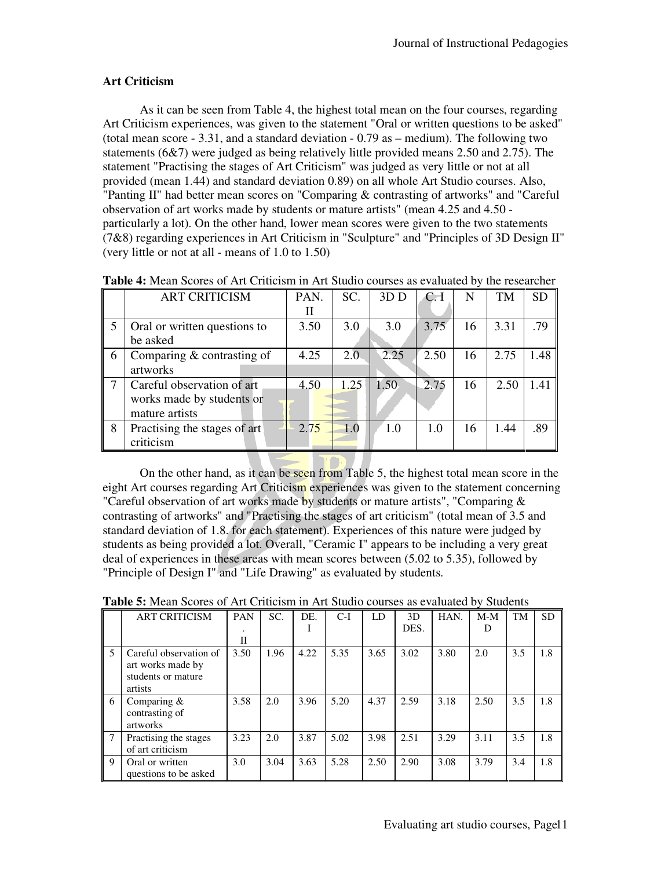# **Art Criticism**

As it can be seen from Table 4, the highest total mean on the four courses, regarding Art Criticism experiences, was given to the statement "Oral or written questions to be asked" (total mean score - 3.31, and a standard deviation - 0.79 as – medium). The following two statements (6&7) were judged as being relatively little provided means 2.50 and 2.75). The statement "Practising the stages of Art Criticism" was judged as very little or not at all provided (mean 1.44) and standard deviation 0.89) on all whole Art Studio courses. Also, "Panting II" had better mean scores on "Comparing & contrasting of artworks" and "Careful observation of art works made by students or mature artists" (mean 4.25 and 4.50 particularly a lot). On the other hand, lower mean scores were given to the two statements (7&8) regarding experiences in Art Criticism in "Sculpture" and "Principles of 3D Design II" (very little or not at all - means of 1.0 to 1.50)

|                                  | <b>ART CRITICISM</b>         | PAN. | SC.  | 3D <sub>D</sub> | C <sub>1</sub> | N  | <b>TM</b> | SD   |
|----------------------------------|------------------------------|------|------|-----------------|----------------|----|-----------|------|
|                                  |                              | П    |      |                 |                |    |           |      |
| 5                                | Oral or written questions to | 3.50 | 3.0  | 3.0             | 3.75           | 16 | 3.31      | .79  |
|                                  | be asked                     |      |      |                 |                |    |           |      |
| $6\overline{6}$                  | Comparing $&$ contrasting of | 4.25 | 2.0  | 2.25            | 2.50           | 16 | 2.75      | 1.48 |
|                                  | artworks                     |      |      |                 |                |    |           |      |
| $\overline{7}$                   | Careful observation of art   | 4.50 | 1.25 | 1.50            | 2.75           | 16 | 2.50      | 1.41 |
|                                  | works made by students or    |      |      |                 |                |    |           |      |
|                                  | mature artists               |      |      |                 |                |    |           |      |
| $\begin{array}{c} 8 \end{array}$ | Practising the stages of art | 2.75 | 1.0  | 1.0             | 1.0            | 16 | 1.44      | .89  |
|                                  | criticism                    |      |      |                 |                |    |           |      |

**Table 4:** Mean Scores of Art Criticism in Art Studio courses as evaluated by the researcher

On the other hand, as it can be seen from Table 5, the highest total mean score in the eight Art courses regarding Art Criticism experiences was given to the statement concerning "Careful observation of art works made by students or mature artists", "Comparing  $\&$ contrasting of artworks" and "Practising the stages of art criticism" (total mean of 3.5 and standard deviation of 1.8. for each statement). Experiences of this nature were judged by students as being provided a lot. Overall, "Ceramic I" appears to be including a very great deal of experiences in these areas with mean scores between (5.02 to 5.35), followed by "Principle of Design I" and "Life Drawing" as evaluated by students.

|   | <b>ART CRITICISM</b>   | <b>PAN</b>   | SC.  | DE.  | $C-I$ | LD   | 3D   | HAN. | $M-M$ | <b>TM</b> | <b>SD</b> |
|---|------------------------|--------------|------|------|-------|------|------|------|-------|-----------|-----------|
|   |                        |              |      |      |       |      | DES. |      | D     |           |           |
|   |                        | $\mathbf{I}$ |      |      |       |      |      |      |       |           |           |
| 5 | Careful observation of | 3.50         | 1.96 | 4.22 | 5.35  | 3.65 | 3.02 | 3.80 | 2.0   | 3.5       | 1.8       |
|   | art works made by      |              |      |      |       |      |      |      |       |           |           |
|   | students or mature     |              |      |      |       |      |      |      |       |           |           |
|   | artists                |              |      |      |       |      |      |      |       |           |           |
| 6 | Comparing &            | 3.58         | 2.0  | 3.96 | 5.20  | 4.37 | 2.59 | 3.18 | 2.50  | 3.5       | 1.8       |
|   | contrasting of         |              |      |      |       |      |      |      |       |           |           |
|   | artworks               |              |      |      |       |      |      |      |       |           |           |
|   | Practising the stages  | 3.23         | 2.0  | 3.87 | 5.02  | 3.98 | 2.51 | 3.29 | 3.11  | 3.5       | 1.8       |
|   | of art criticism       |              |      |      |       |      |      |      |       |           |           |
| 9 | Oral or written        | 3.0          | 3.04 | 3.63 | 5.28  | 2.50 | 2.90 | 3.08 | 3.79  | 3.4       | 1.8       |
|   | questions to be asked  |              |      |      |       |      |      |      |       |           |           |

**Table 5:** Mean Scores of Art Criticism in Art Studio courses as evaluated by Students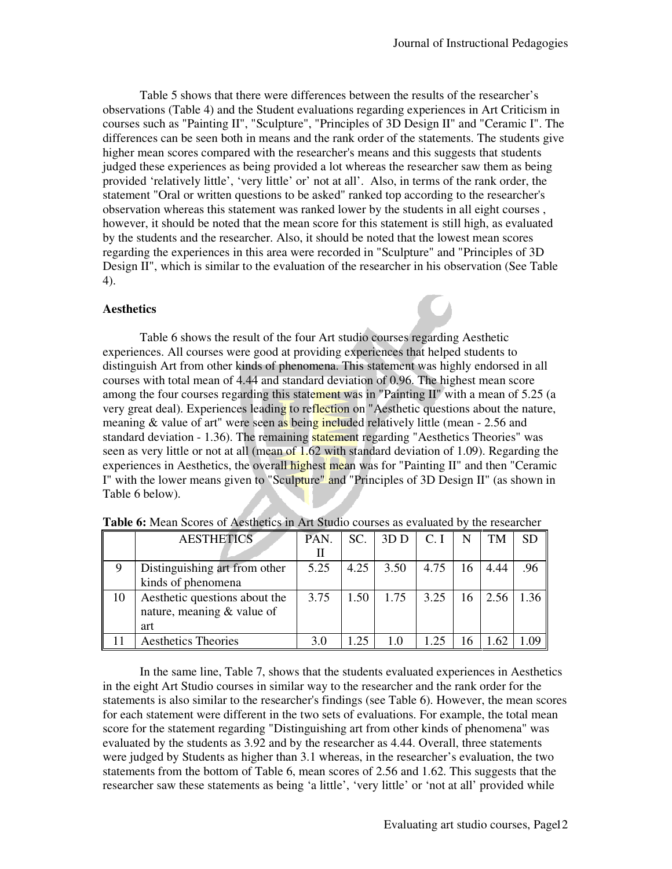Table 5 shows that there were differences between the results of the researcher's observations (Table 4) and the Student evaluations regarding experiences in Art Criticism in courses such as "Painting II", "Sculpture", "Principles of 3D Design II" and "Ceramic I". The differences can be seen both in means and the rank order of the statements. The students give higher mean scores compared with the researcher's means and this suggests that students judged these experiences as being provided a lot whereas the researcher saw them as being provided 'relatively little', 'very little' or' not at all'. Also, in terms of the rank order, the statement "Oral or written questions to be asked" ranked top according to the researcher's observation whereas this statement was ranked lower by the students in all eight courses , however, it should be noted that the mean score for this statement is still high, as evaluated by the students and the researcher. Also, it should be noted that the lowest mean scores regarding the experiences in this area were recorded in "Sculpture" and "Principles of 3D Design II", which is similar to the evaluation of the researcher in his observation (See Table 4).

#### **Aesthetics**

Table 6 shows the result of the four Art studio courses regarding Aesthetic experiences. All courses were good at providing experiences that helped students to distinguish Art from other kinds of phenomena. This statement was highly endorsed in all courses with total mean of 4.44 and standard deviation of 0.96. The highest mean score among the four courses regarding this statement was in "Painting II" with a mean of 5.25 (a very great deal). Experiences leading to reflection on "Aesthetic questions about the nature, meaning & value of art" were seen as being included relatively little (mean - 2.56 and standard deviation - 1.36). The remaining statement regarding "Aesthetics Theories" was seen as very little or not at all (mean of 1.62 with standard deviation of 1.09). Regarding the experiences in Aesthetics, the overall highest mean was for "Painting II" and then "Ceramic I" with the lower means given to "Sculpture" and "Principles of 3D Design II" (as shown in Table 6 below).

|    | <b>AESTHETICS</b>             | PAN. | SC.  | 3D <sub>D</sub> | C. I |    | TM   | <b>SD</b> |
|----|-------------------------------|------|------|-----------------|------|----|------|-----------|
|    |                               | Н    |      |                 |      |    |      |           |
| 9  | Distinguishing art from other | 5.25 | 4.25 | 3.50            | 4.75 | 16 | 4.44 | .96       |
|    | kinds of phenomena            |      |      |                 |      |    |      |           |
| 10 | Aesthetic questions about the | 3.75 | 1.50 | 1.75            | 3.25 | 16 | 2.56 | 1 36      |
|    | nature, meaning $&$ value of  |      |      |                 |      |    |      |           |
|    | art                           |      |      |                 |      |    |      |           |
|    | <b>Aesthetics Theories</b>    |      | -25  |                 | ົາ<  |    |      |           |

In the same line, Table 7, shows that the students evaluated experiences in Aesthetics in the eight Art Studio courses in similar way to the researcher and the rank order for the statements is also similar to the researcher's findings (see Table 6). However, the mean scores for each statement were different in the two sets of evaluations. For example, the total mean score for the statement regarding "Distinguishing art from other kinds of phenomena" was evaluated by the students as 3.92 and by the researcher as 4.44. Overall, three statements were judged by Students as higher than 3.1 whereas, in the researcher's evaluation, the two statements from the bottom of Table 6, mean scores of 2.56 and 1.62. This suggests that the researcher saw these statements as being 'a little', 'very little' or 'not at all' provided while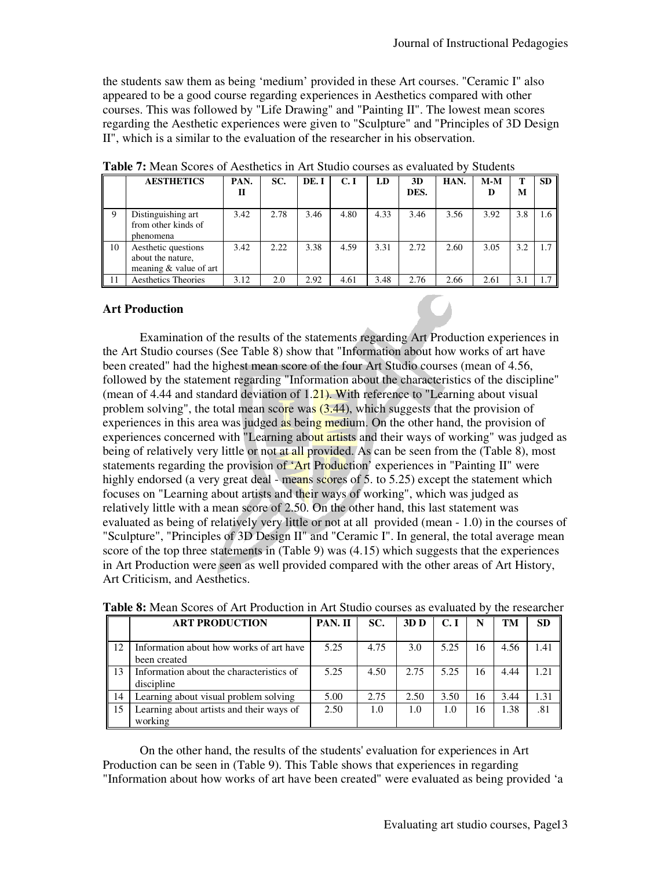the students saw them as being 'medium' provided in these Art courses. "Ceramic I" also appeared to be a good course regarding experiences in Aesthetics compared with other courses. This was followed by "Life Drawing" and "Painting II". The lowest mean scores regarding the Aesthetic experiences were given to "Sculpture" and "Principles of 3D Design II", which is a similar to the evaluation of the researcher in his observation.

|    | <b>AESTHETICS</b>                                                  | PAN.<br>Н | SC.  | DE.I | C. I | LD   | 3D<br>DES. | HAN. | $M-M$<br>D | M   | <b>SD</b> |
|----|--------------------------------------------------------------------|-----------|------|------|------|------|------------|------|------------|-----|-----------|
| 9  | Distinguishing art<br>from other kinds of<br>phenomena             | 3.42      | 2.78 | 3.46 | 4.80 | 4.33 | 3.46       | 3.56 | 3.92       | 3.8 | 1.6       |
| 10 | Aesthetic questions<br>about the nature.<br>meaning & value of art | 3.42      | 2.22 | 3.38 | 4.59 | 3.31 | 2.72       | 2.60 | 3.05       | 3.2 | 1.7       |
| 11 | <b>Aesthetics Theories</b>                                         | 3.12      | 2.0  | 2.92 | 4.61 | 3.48 | 2.76       | 2.66 | 2.61       | 3.1 |           |

**Table 7:** Mean Scores of Aesthetics in Art Studio courses as evaluated by Students

# **Art Production**

Examination of the results of the statements regarding Art Production experiences in the Art Studio courses (See Table 8) show that "Information about how works of art have been created" had the highest mean score of the four Art Studio courses (mean of 4.56, followed by the statement regarding "Information about the characteristics of the discipline" (mean of 4.44 and standard deviation of  $1.21$ ). With reference to "Learning about visual problem solving", the total mean score was  $(3.44)$ , which suggests that the provision of experiences in this area was judged as being medium. On the other hand, the provision of experiences concerned with "Learning about artists and their ways of working" was judged as being of relatively very little or not at all provided. As can be seen from the (Table 8), most statements regarding the provision of 'Art Production' experiences in "Painting II" were highly endorsed (a very great deal - means scores of 5. to 5.25) except the statement which focuses on "Learning about artists and their ways of working", which was judged as relatively little with a mean score of 2.50. On the other hand, this last statement was evaluated as being of relatively very little or not at all provided (mean - 1.0) in the courses of "Sculpture", "Principles of 3D Design II" and "Ceramic I". In general, the total average mean score of the top three statements in (Table 9) was (4.15) which suggests that the experiences in Art Production were seen as well provided compared with the other areas of Art History, Art Criticism, and Aesthetics.

|                | <b>ART PRODUCTION</b>                                   | PAN. II | SC.  | 3D <sub>D</sub> | <b>C.I</b> | N  | TM   | <b>SD</b> |
|----------------|---------------------------------------------------------|---------|------|-----------------|------------|----|------|-----------|
| 12             | Information about how works of art have<br>been created | 5.25    | 4.75 | 3.0             | 5.25       | 16 | 4.56 | 1.41      |
| $\parallel$ 13 | Information about the characteristics of<br>discipline  | 5.25    | 4.50 | 2.75            | 5.25       | 16 | 4.44 | 1.21      |
| 14             | Learning about visual problem solving                   | 5.00    | 2.75 | 2.50            | 3.50       | 16 | 3.44 | 1.31      |
| 15             | Learning about artists and their ways of<br>working     | 2.50    | 1.0  | 1.0             | 1.0        | 16 | 1.38 | .81       |

**Table 8:** Mean Scores of Art Production in Art Studio courses as evaluated by the researcher

On the other hand, the results of the students' evaluation for experiences in Art Production can be seen in (Table 9). This Table shows that experiences in regarding "Information about how works of art have been created" were evaluated as being provided 'a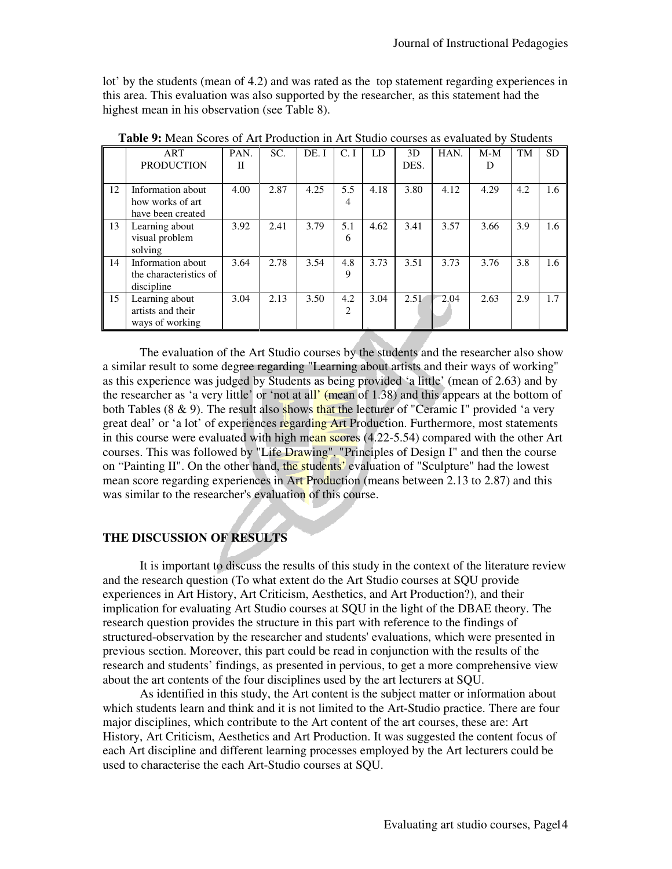lot' by the students (mean of 4.2) and was rated as the top statement regarding experiences in this area. This evaluation was also supported by the researcher, as this statement had the highest mean in his observation (see Table 8).

|    | ART<br><b>PRODUCTION</b> | PAN.<br>П | SC.  | DE. I | C.I | LD   | 3D<br>DES. | HAN. | $M-M$<br>D | TM  | SD  |
|----|--------------------------|-----------|------|-------|-----|------|------------|------|------------|-----|-----|
| 12 | Information about        | 4.00      | 2.87 | 4.25  | 5.5 | 4.18 | 3.80       | 4.12 | 4.29       | 4.2 | 1.6 |
|    | how works of art         |           |      |       | 4   |      |            |      |            |     |     |
|    | have been created        |           |      |       |     |      |            |      |            |     |     |
| 13 | Learning about           | 3.92      | 2.41 | 3.79  | 5.1 | 4.62 | 3.41       | 3.57 | 3.66       | 3.9 | 1.6 |
|    | visual problem           |           |      |       | 6   |      |            |      |            |     |     |
|    | solving                  |           |      |       |     |      |            |      |            |     |     |
| 14 | Information about        | 3.64      | 2.78 | 3.54  | 4.8 | 3.73 | 3.51       | 3.73 | 3.76       | 3.8 | 1.6 |
|    | the characteristics of   |           |      |       | 9   |      |            |      |            |     |     |
|    | discipline               |           |      |       |     |      |            |      |            |     |     |
| 15 | Learning about           | 3.04      | 2.13 | 3.50  | 4.2 | 3.04 | 2.51       | 2.04 | 2.63       | 2.9 | 1.7 |
|    | artists and their        |           |      |       | 2   |      |            |      |            |     |     |
|    | ways of working          |           |      |       |     |      |            |      |            |     |     |
|    |                          |           |      |       |     |      |            |      |            |     |     |

**Table 9:** Mean Scores of Art Production in Art Studio courses as evaluated by Students

The evaluation of the Art Studio courses by the students and the researcher also show a similar result to some degree regarding "Learning about artists and their ways of working" as this experience was judged by Students as being provided 'a little' (mean of 2.63) and by the researcher as 'a very little' or 'not at all' (mean of 1.38) and this appears at the bottom of both Tables (8  $\&$  9). The result also shows that the lecturer of "Ceramic I" provided 'a very great deal' or 'a lot' of experiences regarding Art Production. Furthermore, most statements in this course were evaluated with high mean scores (4.22-5.54) compared with the other Art courses. This was followed by "Life Drawing", "Principles of Design I" and then the course on "Painting II". On the other hand, the students' evaluation of "Sculpture" had the lowest mean score regarding experiences in Art Production (means between 2.13 to 2.87) and this was similar to the researcher's evaluation of this course.

# **THE DISCUSSION OF RESULTS**

It is important to discuss the results of this study in the context of the literature review and the research question (To what extent do the Art Studio courses at SQU provide experiences in Art History, Art Criticism, Aesthetics, and Art Production?), and their implication for evaluating Art Studio courses at SQU in the light of the DBAE theory. The research question provides the structure in this part with reference to the findings of structured-observation by the researcher and students' evaluations, which were presented in previous section. Moreover, this part could be read in conjunction with the results of the research and students' findings, as presented in pervious, to get a more comprehensive view about the art contents of the four disciplines used by the art lecturers at SQU.

As identified in this study, the Art content is the subject matter or information about which students learn and think and it is not limited to the Art-Studio practice. There are four major disciplines, which contribute to the Art content of the art courses, these are: Art History, Art Criticism, Aesthetics and Art Production. It was suggested the content focus of each Art discipline and different learning processes employed by the Art lecturers could be used to characterise the each Art-Studio courses at SQU.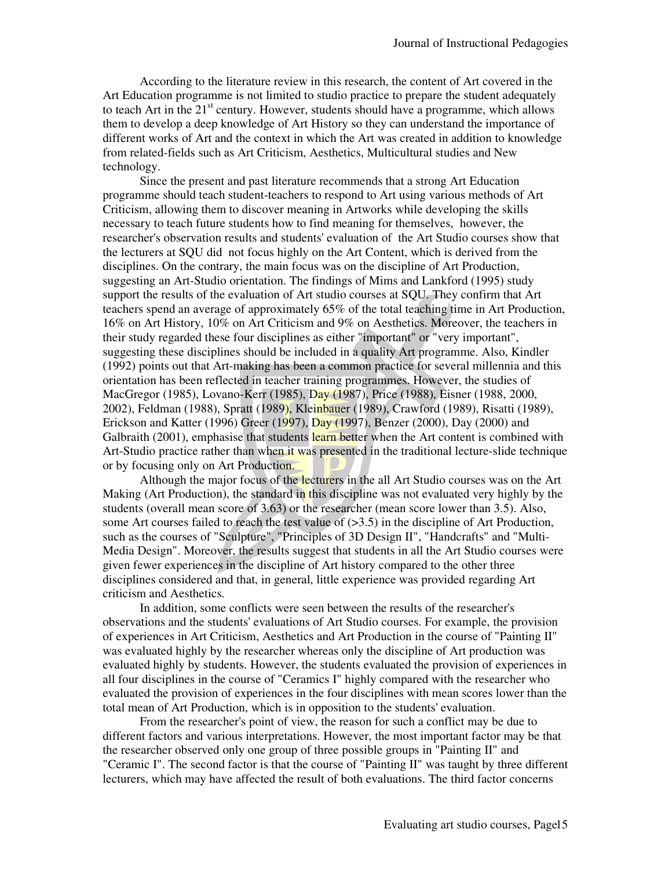According to the literature review in this research, the content of Art covered in the Art Education programme is not limited to studio practice to prepare the student adequately to teach Art in the  $21<sup>st</sup>$  century. However, students should have a programme, which allows them to develop a deep knowledge of Art History so they can understand the importance of different works of Art and the context in which the Art was created in addition to knowledge from related-fields such as Art Criticism, Aesthetics, Multicultural studies and New technology.

Since the present and past literature recommends that a strong Art Education programme should teach student-teachers to respond to Art using various methods of Art Criticism, allowing them to discover meaning in Artworks while developing the skills necessary to teach future students how to find meaning for themselves, however, the researcher's observation results and students' evaluation of the Art Studio courses show that the lecturers at SQU did not focus highly on the Art Content, which is derived from the disciplines. On the contrary, the main focus was on the discipline of Art Production, suggesting an Art-Studio orientation. The findings of Mims and Lankford (1995) study support the results of the evaluation of Art studio courses at SQU. They confirm that Art teachers spend an average of approximately 65% of the total teaching time in Art Production, 16% on Art History, 10% on Art Criticism and 9% on Aesthetics. Moreover, the teachers in their study regarded these four disciplines as either "important" or "very important", suggesting these disciplines should be included in a quality Art programme. Also, Kindler (1992) points out that Art-making has been a common practice for several millennia and this orientation has been reflected in teacher training programmes. However, the studies of MacGregor (1985), Lovano-Kerr (1985), Day (1987), Price (1988), Eisner (1988, 2000, 2002), Feldman (1988), Spratt (1989), Kleinbauer (1989), Crawford (1989), Risatti (1989), Erickson and Katter (1996) Greer (1997), Day (1997), Benzer (2000), Day (2000) and Galbraith (2001), emphasise that students learn better when the Art content is combined with Art-Studio practice rather than when it was presented in the traditional lecture-slide technique or by focusing only on Art Production.

Although the major focus of the lecturers in the all Art Studio courses was on the Art Making (Art Production), the standard in this discipline was not evaluated very highly by the students (overall mean score of 3.63) or the researcher (mean score lower than 3.5). Also, some Art courses failed to reach the test value of  $(>3.5)$  in the discipline of Art Production, such as the courses of "Sculpture", "Principles of 3D Design II", "Handcrafts" and "Multi-Media Design". Moreover, the results suggest that students in all the Art Studio courses were given fewer experiences in the discipline of Art history compared to the other three disciplines considered and that, in general, little experience was provided regarding Art criticism and Aesthetics.

In addition, some conflicts were seen between the results of the researcher's observations and the students' evaluations of Art Studio courses. For example, the provision of experiences in Art Criticism, Aesthetics and Art Production in the course of "Painting II" was evaluated highly by the researcher whereas only the discipline of Art production was evaluated highly by students. However, the students evaluated the provision of experiences in all four disciplines in the course of "Ceramics I" highly compared with the researcher who evaluated the provision of experiences in the four disciplines with mean scores lower than the total mean of Art Production, which is in opposition to the students' evaluation.

From the researcher's point of view, the reason for such a conflict may be due to different factors and various interpretations. However, the most important factor may be that the researcher observed only one group of three possible groups in "Painting II" and "Ceramic I". The second factor is that the course of "Painting II" was taught by three different lecturers, which may have affected the result of both evaluations. The third factor concerns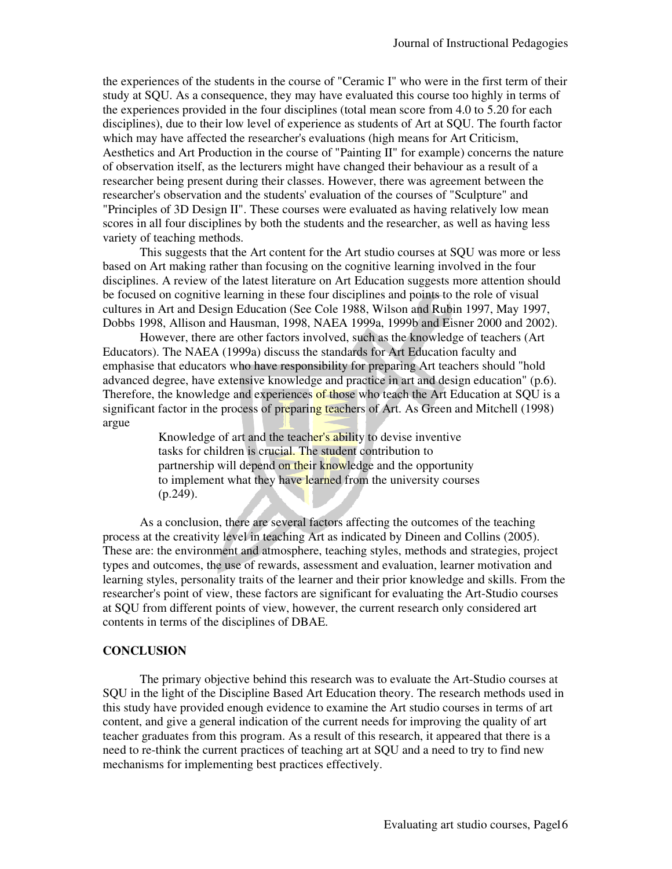the experiences of the students in the course of "Ceramic I" who were in the first term of their study at SQU. As a consequence, they may have evaluated this course too highly in terms of the experiences provided in the four disciplines (total mean score from 4.0 to 5.20 for each disciplines), due to their low level of experience as students of Art at SQU. The fourth factor which may have affected the researcher's evaluations (high means for Art Criticism, Aesthetics and Art Production in the course of "Painting II" for example) concerns the nature of observation itself, as the lecturers might have changed their behaviour as a result of a researcher being present during their classes. However, there was agreement between the researcher's observation and the students' evaluation of the courses of "Sculpture" and "Principles of 3D Design II". These courses were evaluated as having relatively low mean scores in all four disciplines by both the students and the researcher, as well as having less variety of teaching methods.

This suggests that the Art content for the Art studio courses at SQU was more or less based on Art making rather than focusing on the cognitive learning involved in the four disciplines. A review of the latest literature on Art Education suggests more attention should be focused on cognitive learning in these four disciplines and points to the role of visual cultures in Art and Design Education (See Cole 1988, Wilson and Rubin 1997, May 1997, Dobbs 1998, Allison and Hausman, 1998, NAEA 1999a, 1999b and Eisner 2000 and 2002).

However, there are other factors involved, such as the knowledge of teachers (Art Educators). The NAEA (1999a) discuss the standards for Art Education faculty and emphasise that educators who have responsibility for preparing Art teachers should "hold advanced degree, have extensive knowledge and practice in art and design education" (p.6). Therefore, the knowledge and experiences of those who teach the Art Education at SQU is a significant factor in the process of preparing teachers of Art. As Green and Mitchell (1998) argue

> Knowledge of art and the teacher's ability to devise inventive tasks for children is crucial. The student contribution to partnership will depend on their knowledge and the opportunity to implement what they have learned from the university courses (p.249).

As a conclusion, there are several factors affecting the outcomes of the teaching process at the creativity level in teaching Art as indicated by Dineen and Collins (2005). These are: the environment and atmosphere, teaching styles, methods and strategies, project types and outcomes, the use of rewards, assessment and evaluation, learner motivation and learning styles, personality traits of the learner and their prior knowledge and skills. From the researcher's point of view, these factors are significant for evaluating the Art-Studio courses at SQU from different points of view, however, the current research only considered art contents in terms of the disciplines of DBAE.

# **CONCLUSION**

The primary objective behind this research was to evaluate the Art-Studio courses at SQU in the light of the Discipline Based Art Education theory. The research methods used in this study have provided enough evidence to examine the Art studio courses in terms of art content, and give a general indication of the current needs for improving the quality of art teacher graduates from this program. As a result of this research, it appeared that there is a need to re-think the current practices of teaching art at SQU and a need to try to find new mechanisms for implementing best practices effectively.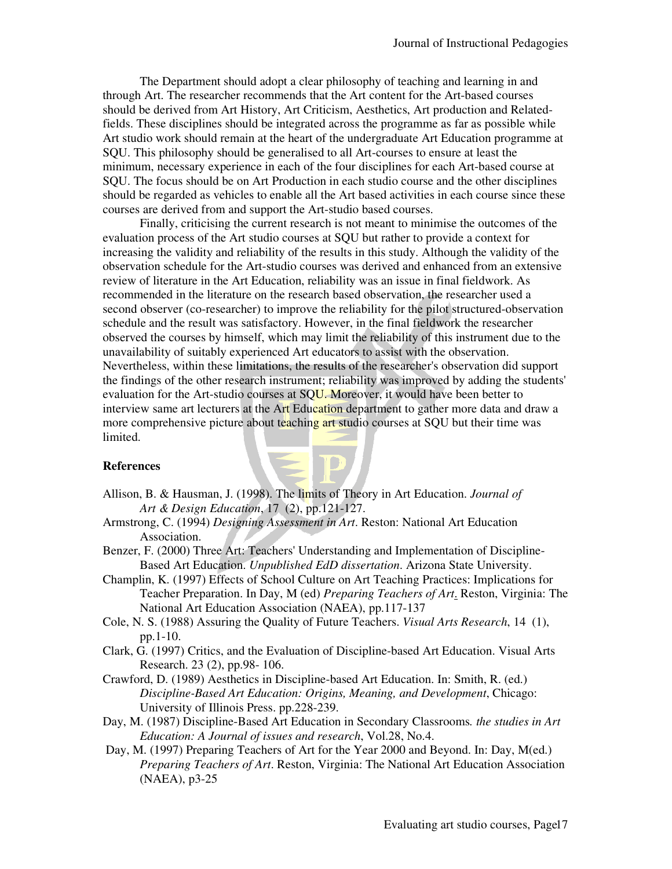The Department should adopt a clear philosophy of teaching and learning in and through Art. The researcher recommends that the Art content for the Art-based courses should be derived from Art History, Art Criticism, Aesthetics, Art production and Relatedfields. These disciplines should be integrated across the programme as far as possible while Art studio work should remain at the heart of the undergraduate Art Education programme at SQU. This philosophy should be generalised to all Art-courses to ensure at least the minimum, necessary experience in each of the four disciplines for each Art-based course at SQU. The focus should be on Art Production in each studio course and the other disciplines should be regarded as vehicles to enable all the Art based activities in each course since these courses are derived from and support the Art-studio based courses.

Finally, criticising the current research is not meant to minimise the outcomes of the evaluation process of the Art studio courses at SQU but rather to provide a context for increasing the validity and reliability of the results in this study. Although the validity of the observation schedule for the Art-studio courses was derived and enhanced from an extensive review of literature in the Art Education, reliability was an issue in final fieldwork. As recommended in the literature on the research based observation, the researcher used a second observer (co-researcher) to improve the reliability for the pilot structured-observation schedule and the result was satisfactory. However, in the final fieldwork the researcher observed the courses by himself, which may limit the reliability of this instrument due to the unavailability of suitably experienced Art educators to assist with the observation. Nevertheless, within these limitations, the results of the researcher's observation did support the findings of the other research instrument; reliability was improved by adding the students' evaluation for the Art-studio courses at SQU. Moreover, it would have been better to interview same art lecturers at the Art Education department to gather more data and draw a more comprehensive picture about teaching art studio courses at SQU but their time was limited.

#### **References**

- Allison, B. & Hausman, J. (1998). The limits of Theory in Art Education. *Journal of Art & Design Education*, 17 (2), pp.121-127.
- Armstrong, C. (1994) *Designing Assessment in Art*. Reston: National Art Education Association.
- Benzer, F. (2000) Three Art: Teachers' Understanding and Implementation of Discipline-Based Art Education. *Unpublished EdD dissertation*. Arizona State University.
- Champlin, K. (1997) Effects of School Culture on Art Teaching Practices: Implications for Teacher Preparation. In Day, M (ed) *Preparing Teachers of Art*. Reston, Virginia: The National Art Education Association (NAEA), pp.117-137
- Cole, N. S. (1988) Assuring the Quality of Future Teachers. *Visual Arts Research*, 14 (1), pp.1-10.
- Clark, G. (1997) Critics, and the Evaluation of Discipline-based Art Education. Visual Arts Research. 23 (2), pp.98- 106.
- Crawford, D. (1989) Aesthetics in Discipline-based Art Education. In: Smith, R. (ed.) *Discipline-Based Art Education: Origins, Meaning, and Development*, Chicago: University of Illinois Press. pp.228-239.
- Day, M. (1987) Discipline-Based Art Education in Secondary Classrooms*. the studies in Art Education: A Journal of issues and research*, Vol.28, No.4.
- Day, M. (1997) Preparing Teachers of Art for the Year 2000 and Beyond. In: Day, M(ed.) *Preparing Teachers of Art*. Reston, Virginia: The National Art Education Association (NAEA), p3-25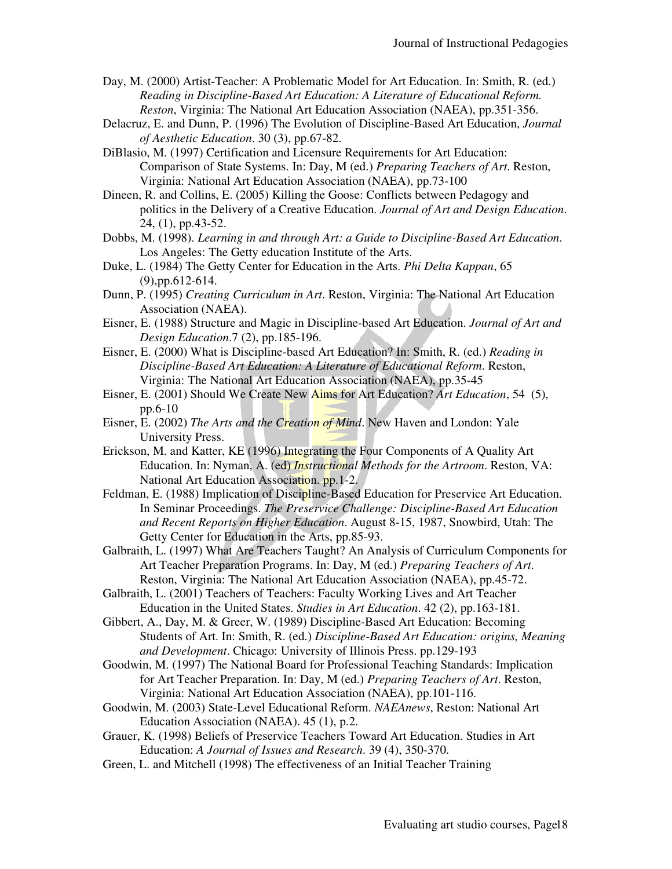- Day, M. (2000) Artist-Teacher: A Problematic Model for Art Education. In: Smith, R. (ed.) *Reading in Discipline-Based Art Education: A Literature of Educational Reform. Reston*, Virginia: The National Art Education Association (NAEA), pp.351-356.
- Delacruz, E. and Dunn, P. (1996) The Evolution of Discipline-Based Art Education, *Journal of Aesthetic Education*. 30 (3), pp.67-82.
- DiBlasio, M. (1997) Certification and Licensure Requirements for Art Education: Comparison of State Systems. In: Day, M (ed.) *Preparing Teachers of Art*. Reston, Virginia: National Art Education Association (NAEA), pp.73-100
- Dineen, R. and Collins, E. (2005) Killing the Goose: Conflicts between Pedagogy and politics in the Delivery of a Creative Education. *Journal of Art and Design Education*. 24, (1), pp.43-52.
- Dobbs, M. (1998). *Learning in and through Art: a Guide to Discipline-Based Art Education*. Los Angeles: The Getty education Institute of the Arts.
- Duke, L. (1984) The Getty Center for Education in the Arts. *Phi Delta Kappan*, 65 (9),pp.612-614.
- Dunn, P. (1995) *Creating Curriculum in Art*. Reston, Virginia: The National Art Education Association (NAEA).
- Eisner, E. (1988) Structure and Magic in Discipline-based Art Education. *Journal of Art and Design Education*.7 (2), pp.185-196.
- Eisner, E. (2000) What is Discipline-based Art Education? In: Smith, R. (ed.) *Reading in Discipline-Based Art Education: A Literature of Educational Reform*. Reston, Virginia: The National Art Education Association (NAEA), pp.35-45
- Eisner, E. (2001) Should We Create New Aims for Art Education? *Art Education*, 54 (5), pp.6-10
- Eisner, E. (2002) *The Arts and the Creation of Mind*. New Haven and London: Yale University Press.
- Erickson, M. and Katter, KE (1996) Integrating the Four Components of A Quality Art Education. In: Nyman, A. (ed) *Instructional Methods for the Artroom*. Reston, VA: National Art Education Association. pp.1-2.
- Feldman, E. (1988) Implication of Discipline-Based Education for Preservice Art Education. In Seminar Proceedings. *The Preservice Challenge: Discipline-Based Art Education and Recent Reports on Higher Education*. August 8-15, 1987, Snowbird, Utah: The Getty Center for Education in the Arts, pp.85-93.
- Galbraith, L. (1997) What Are Teachers Taught? An Analysis of Curriculum Components for Art Teacher Preparation Programs. In: Day, M (ed.) *Preparing Teachers of Art*. Reston, Virginia: The National Art Education Association (NAEA), pp.45-72.
- Galbraith, L. (2001) Teachers of Teachers: Faculty Working Lives and Art Teacher Education in the United States. *Studies in Art Education*. 42 (2), pp.163-181.
- Gibbert, A., Day, M. & Greer, W. (1989) Discipline-Based Art Education: Becoming Students of Art. In: Smith, R. (ed.) *Discipline-Based Art Education: origins, Meaning and Development*. Chicago: University of Illinois Press. pp.129-193
- Goodwin, M. (1997) The National Board for Professional Teaching Standards: Implication for Art Teacher Preparation. In: Day, M (ed.) *Preparing Teachers of Art*. Reston, Virginia: National Art Education Association (NAEA), pp.101-116.
- Goodwin, M. (2003) State-Level Educational Reform. *NAEAnews*, Reston: National Art Education Association (NAEA). 45 (1), p.2.
- Grauer, K. (1998) Beliefs of Preservice Teachers Toward Art Education. Studies in Art Education: *A Journal of Issues and Research*. 39 (4), 350-370.
- Green, L. and Mitchell (1998) The effectiveness of an Initial Teacher Training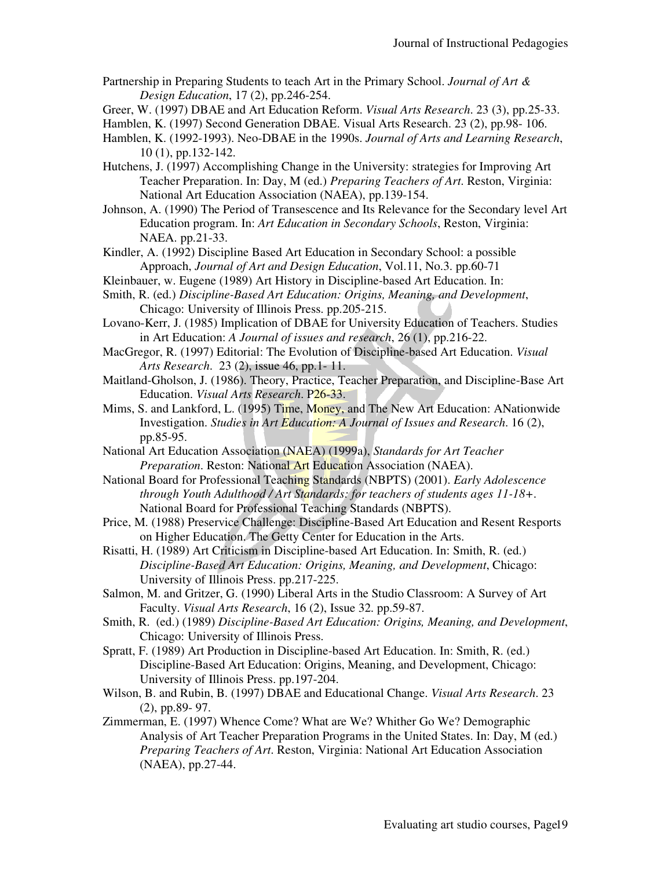- Partnership in Preparing Students to teach Art in the Primary School. *Journal of Art & Design Education*, 17 (2), pp.246-254.
- Greer, W. (1997) DBAE and Art Education Reform. *Visual Arts Research*. 23 (3), pp.25-33.
- Hamblen, K. (1997) Second Generation DBAE. Visual Arts Research. 23 (2), pp.98- 106.
- Hamblen, K. (1992-1993). Neo-DBAE in the 1990s. *Journal of Arts and Learning Research*, 10 (1), pp.132-142.
- Hutchens, J. (1997) Accomplishing Change in the University: strategies for Improving Art Teacher Preparation. In: Day, M (ed.) *Preparing Teachers of Art*. Reston, Virginia: National Art Education Association (NAEA), pp.139-154.
- Johnson, A. (1990) The Period of Transescence and Its Relevance for the Secondary level Art Education program. In: *Art Education in Secondary Schools*, Reston, Virginia: NAEA. pp.21-33.
- Kindler, A. (1992) Discipline Based Art Education in Secondary School: a possible Approach, *Journal of Art and Design Education*, Vol.11, No.3. pp.60-71
- Kleinbauer, w. Eugene (1989) Art History in Discipline-based Art Education. In:
- Smith, R. (ed.) *Discipline-Based Art Education: Origins, Meaning, and Development*, Chicago: University of Illinois Press. pp.205-215.
- Lovano-Kerr, J. (1985) Implication of DBAE for University Education of Teachers. Studies in Art Education: *A Journal of issues and research*, 26 (1), pp.216-22.
- MacGregor, R. (1997) Editorial: The Evolution of Discipline-based Art Education. *Visual Arts Research*. 23 (2), issue 46, pp.1- 11.
- Maitland-Gholson, J. (1986). Theory, Practice, Teacher Preparation, and Discipline-Base Art Education. *Visual Arts Research*. P26-33.
- Mims, S. and Lankford, L. (1995) Time, Money, and The New Art Education: ANationwide Investigation. *Studies in Art Education: A Journal of Issues and Research*. 16 (2), pp.85-95.
- National Art Education Association (NAEA) (1999a), *Standards for Art Teacher Preparation*. Reston: National Art Education Association (NAEA).
- National Board for Professional Teaching Standards (NBPTS) (2001). *Early Adolescence through Youth Adulthood / Art Standards: for teachers of students ages 11-18+*. National Board for Professional Teaching Standards (NBPTS).
- Price, M. (1988) Preservice Challenge: Discipline-Based Art Education and Resent Resports on Higher Education. The Getty Center for Education in the Arts.
- Risatti, H. (1989) Art Criticism in Discipline-based Art Education. In: Smith, R. (ed.) *Discipline-Based Art Education: Origins, Meaning, and Development*, Chicago: University of Illinois Press. pp.217-225.
- Salmon, M. and Gritzer, G. (1990) Liberal Arts in the Studio Classroom: A Survey of Art Faculty. *Visual Arts Research*, 16 (2), Issue 32. pp.59-87.
- Smith, R. (ed.) (1989) *Discipline-Based Art Education: Origins, Meaning, and Development*, Chicago: University of Illinois Press.
- Spratt, F. (1989) Art Production in Discipline-based Art Education. In: Smith, R. (ed.) Discipline-Based Art Education: Origins, Meaning, and Development, Chicago: University of Illinois Press. pp.197-204.
- Wilson, B. and Rubin, B. (1997) DBAE and Educational Change. *Visual Arts Research*. 23 (2), pp.89- 97.
- Zimmerman, E. (1997) Whence Come? What are We? Whither Go We? Demographic Analysis of Art Teacher Preparation Programs in the United States. In: Day, M (ed.) *Preparing Teachers of Art*. Reston, Virginia: National Art Education Association (NAEA), pp.27-44.